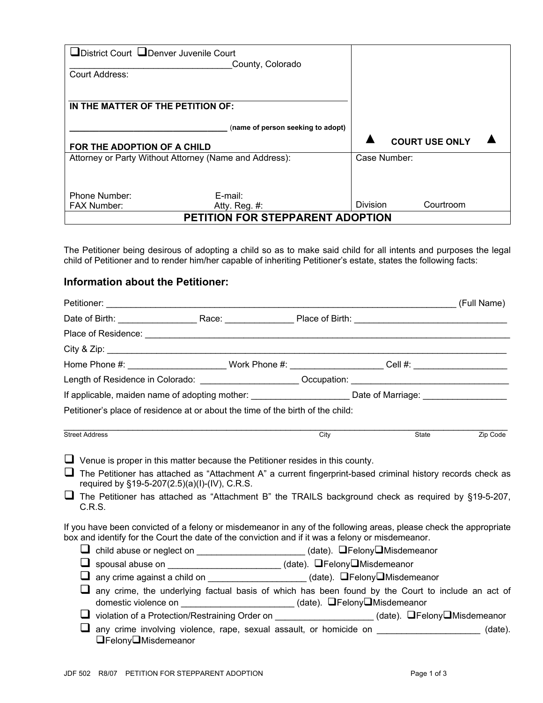| □District Court □Denver Juvenile Court<br><b>Court Address:</b> | County, Colorado                  |                 |                       |  |
|-----------------------------------------------------------------|-----------------------------------|-----------------|-----------------------|--|
| IN THE MATTER OF THE PETITION OF:                               |                                   |                 |                       |  |
|                                                                 | (name of person seeking to adopt) |                 |                       |  |
| FOR THE ADOPTION OF A CHILD                                     |                                   |                 | <b>COURT USE ONLY</b> |  |
| Attorney or Party Without Attorney (Name and Address):          |                                   | Case Number:    |                       |  |
|                                                                 |                                   |                 |                       |  |
| Phone Number:                                                   | E-mail:                           |                 |                       |  |
| <b>FAX Number:</b>                                              | Atty. Reg. $#$ :                  | <b>Division</b> | Courtroom             |  |
| PETITION FOR STEPPARENT ADOPTION                                |                                   |                 |                       |  |

The Petitioner being desirous of adopting a child so as to make said child for all intents and purposes the legal child of Petitioner and to render him/her capable of inheriting Petitioner's estate, states the following facts:

## **Information about the Petitioner:**

|                       | Home Phone #: _________________________Work Phone #: ______________________Cell #: ______________________                                                                                                             |                   |       |          |
|-----------------------|-----------------------------------------------------------------------------------------------------------------------------------------------------------------------------------------------------------------------|-------------------|-------|----------|
|                       | Length of Residence in Colorado: ________________________Occupation: _______________________________                                                                                                                  |                   |       |          |
|                       | If applicable, maiden name of adopting mother: __________________________Date of Marriage: ___________________                                                                                                        |                   |       |          |
|                       | Petitioner's place of residence at or about the time of the birth of the child:                                                                                                                                       |                   |       |          |
| <b>Street Address</b> |                                                                                                                                                                                                                       | $\overline{City}$ | State | Zip Code |
|                       |                                                                                                                                                                                                                       |                   |       |          |
| C.R.S.                | required by §19-5-207(2.5)(a)(I)-(IV), C.R.S.<br>The Petitioner has attached as "Attachment B" the TRAILS background check as required by §19-5-207,                                                                  |                   |       |          |
|                       | If you have been convicted of a felony or misdemeanor in any of the following areas, please check the appropriate<br>box and identify for the Court the date of the conviction and if it was a felony or misdemeanor. |                   |       |          |
|                       | Lichild abuse or neglect on ________________________(date). DFelonyDMisdemeanor                                                                                                                                       |                   |       |          |
|                       | └┛ spousal abuse on _________________________(date). □Felony□Misdemeanor                                                                                                                                              |                   |       |          |
|                       | any crime against a child on _______________________(date). OFelonyOMisdemeanor                                                                                                                                       |                   |       |          |
|                       | any crime, the underlying factual basis of which has been found by the Court to include an act of<br>domestic violence on ________________________(date). □Felony□Misdemeanor                                         |                   |       |          |
|                       | U violation of a Protection/Restraining Order on ____________________(date). QFelonyQMisdemeanor                                                                                                                      |                   |       |          |
| □Felony□Misdemeanor   | any crime involving violence, rape, sexual assault, or homicide on ____________________(date).                                                                                                                        |                   |       |          |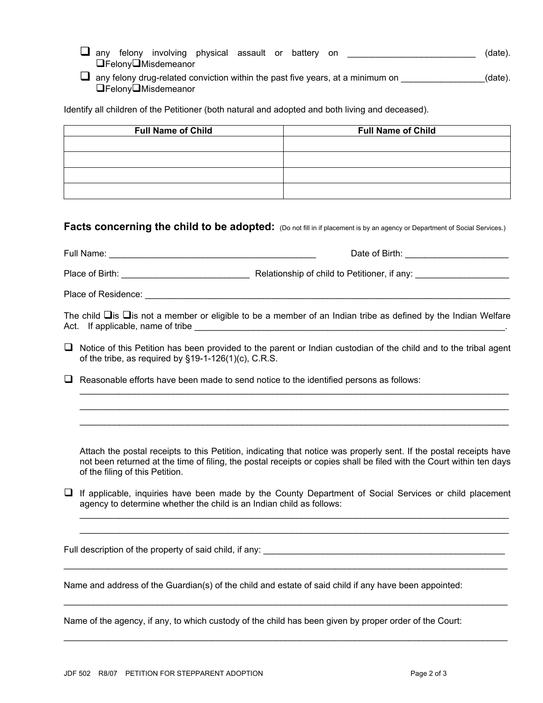$\Box$  any felony involving physical assault or battery on  $\Box$  \_\_\_\_\_\_\_\_\_\_\_\_\_\_\_\_\_\_\_\_\_\_\_\_\_\_\_\_\_\_\_ (date). **□FelonyO**Misdemeanor

 $\Box$  any felony drug-related conviction within the past five years, at a minimum on  $\Box$ FelonyMisdemeanor

Identify all children of the Petitioner (both natural and adopted and both living and deceased).

| <b>Full Name of Child</b> | <b>Full Name of Child</b> |  |  |
|---------------------------|---------------------------|--|--|
|                           |                           |  |  |
|                           |                           |  |  |
|                           |                           |  |  |
|                           |                           |  |  |

## **Facts concerning the child to be adopted:** (Do not fill in if placement is by an agency or Department of Social Services.)

| Full Name:<br><u> 1980 - John Stone, Amerikaansk politiker (* 1980)</u> | Date of Birth: _____________________                                                                          |
|-------------------------------------------------------------------------|---------------------------------------------------------------------------------------------------------------|
| Place of Birth: The Contract of Birth:                                  | Relationship of child to Petitioner, if any:                                                                  |
| Place of Residence:                                                     |                                                                                                               |
|                                                                         | ⊤na ang a ⊡g ⊡g an ang mga kalawang ng kalawang mga kalawang ng kalawang ng mga salawang nagpang mga kalawang |

The child  $\Box$ is  $\Box$ is not a member or eligible to be a member of an Indian tribe as defined by the Indian Welfare Act. If applicable, name of tribe \_\_\_\_\_\_\_\_\_\_\_\_\_\_\_\_\_\_\_\_\_\_\_\_\_\_\_\_\_\_\_\_\_\_\_\_\_\_\_\_\_\_\_\_\_\_\_\_\_\_\_\_\_\_\_\_\_\_\_\_\_\_\_.

 $\Box$  Notice of this Petition has been provided to the parent or Indian custodian of the child and to the tribal agent of the tribe, as required by §19-1-126(1)(c), C.R.S.

 $\Box$  Reasonable efforts have been made to send notice to the identified persons as follows:

Attach the postal receipts to this Petition, indicating that notice was properly sent. If the postal receipts have not been returned at the time of filing, the postal receipts or copies shall be filed with the Court within ten days of the filing of this Petition.

 $\mathcal{L}_\text{G} = \{ \mathcal{L}_\text{G} = \{ \mathcal{L}_\text{G} = \{ \mathcal{L}_\text{G} = \{ \mathcal{L}_\text{G} = \{ \mathcal{L}_\text{G} = \{ \mathcal{L}_\text{G} = \{ \mathcal{L}_\text{G} = \{ \mathcal{L}_\text{G} = \{ \mathcal{L}_\text{G} = \{ \mathcal{L}_\text{G} = \{ \mathcal{L}_\text{G} = \{ \mathcal{L}_\text{G} = \{ \mathcal{L}_\text{G} = \{ \mathcal{L}_\text{G} = \{ \mathcal{L}_\text{G$  $\mathcal{L}_\text{G} = \{ \mathcal{L}_\text{G} = \{ \mathcal{L}_\text{G} = \{ \mathcal{L}_\text{G} = \{ \mathcal{L}_\text{G} = \{ \mathcal{L}_\text{G} = \{ \mathcal{L}_\text{G} = \{ \mathcal{L}_\text{G} = \{ \mathcal{L}_\text{G} = \{ \mathcal{L}_\text{G} = \{ \mathcal{L}_\text{G} = \{ \mathcal{L}_\text{G} = \{ \mathcal{L}_\text{G} = \{ \mathcal{L}_\text{G} = \{ \mathcal{L}_\text{G} = \{ \mathcal{L}_\text{G$  $\mathcal{L}_\text{G} = \{ \mathcal{L}_\text{G} = \{ \mathcal{L}_\text{G} = \{ \mathcal{L}_\text{G} = \{ \mathcal{L}_\text{G} = \{ \mathcal{L}_\text{G} = \{ \mathcal{L}_\text{G} = \{ \mathcal{L}_\text{G} = \{ \mathcal{L}_\text{G} = \{ \mathcal{L}_\text{G} = \{ \mathcal{L}_\text{G} = \{ \mathcal{L}_\text{G} = \{ \mathcal{L}_\text{G} = \{ \mathcal{L}_\text{G} = \{ \mathcal{L}_\text{G} = \{ \mathcal{L}_\text{G$ 

 $\Box$  If applicable, inquiries have been made by the County Department of Social Services or child placement agency to determine whether the child is an Indian child as follows:

 $\mathcal{L}_\text{max}$  , and the contribution of the contribution of the contribution of the contribution of the contribution of the contribution of the contribution of the contribution of the contribution of the contribution of t

 $\mathcal{L}_\text{max}$  , and the contribution of the contribution of the contribution of the contribution of the contribution of the contribution of the contribution of the contribution of the contribution of the contribution of t

 $\mathcal{L}_\text{max}$  , and the contribution of the contribution of the contribution of the contribution of the contribution of the contribution of the contribution of the contribution of the contribution of the contribution of t

 $\mathcal{L}_\text{G} = \{ \mathcal{L}_\text{G} = \{ \mathcal{L}_\text{G} = \{ \mathcal{L}_\text{G} = \{ \mathcal{L}_\text{G} = \{ \mathcal{L}_\text{G} = \{ \mathcal{L}_\text{G} = \{ \mathcal{L}_\text{G} = \{ \mathcal{L}_\text{G} = \{ \mathcal{L}_\text{G} = \{ \mathcal{L}_\text{G} = \{ \mathcal{L}_\text{G} = \{ \mathcal{L}_\text{G} = \{ \mathcal{L}_\text{G} = \{ \mathcal{L}_\text{G} = \{ \mathcal{L}_\text{G$  $\mathcal{L}_\text{G} = \{ \mathcal{L}_\text{G} = \{ \mathcal{L}_\text{G} = \{ \mathcal{L}_\text{G} = \{ \mathcal{L}_\text{G} = \{ \mathcal{L}_\text{G} = \{ \mathcal{L}_\text{G} = \{ \mathcal{L}_\text{G} = \{ \mathcal{L}_\text{G} = \{ \mathcal{L}_\text{G} = \{ \mathcal{L}_\text{G} = \{ \mathcal{L}_\text{G} = \{ \mathcal{L}_\text{G} = \{ \mathcal{L}_\text{G} = \{ \mathcal{L}_\text{G} = \{ \mathcal{L}_\text{G$ 

Full description of the property of said child, if any: \_\_\_\_\_\_\_\_\_\_\_\_\_\_\_\_\_\_\_\_\_\_\_\_\_

Name and address of the Guardian(s) of the child and estate of said child if any have been appointed:

Name of the agency, if any, to which custody of the child has been given by proper order of the Court: